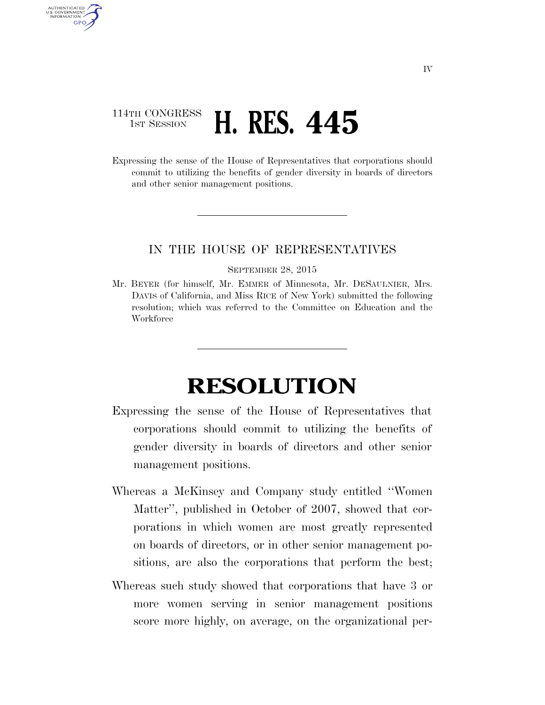## 114TH CONGRESS **1ST SESSION <b>H. RES. 445**

AUTHENTICATED U.S. GOVERNMENT **GPO** 

> Expressing the sense of the House of Representatives that corporations should commit to utilizing the benefits of gender diversity in boards of directors and other senior management positions.

## IN THE HOUSE OF REPRESENTATIVES

## SEPTEMBER 28, 2015

Mr. BEYER (for himself, Mr. EMMER of Minnesota, Mr. DESAULNIER, Mrs. DAVIS of California, and Miss RICE of New York) submitted the following resolution; which was referred to the Committee on Education and the **Workforce** 

## **RESOLUTION**

- Expressing the sense of the House of Representatives that corporations should commit to utilizing the benefits of gender diversity in boards of directors and other senior management positions.
- Whereas a McKinsey and Company study entitled ''Women Matter'', published in October of 2007, showed that corporations in which women are most greatly represented on boards of directors, or in other senior management positions, are also the corporations that perform the best;
- Whereas such study showed that corporations that have 3 or more women serving in senior management positions score more highly, on average, on the organizational per-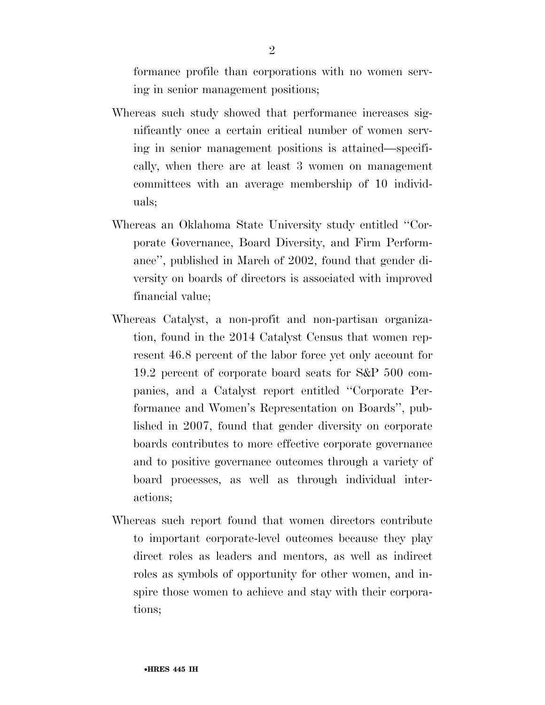formance profile than corporations with no women serving in senior management positions;

- Whereas such study showed that performance increases significantly once a certain critical number of women serving in senior management positions is attained—specifically, when there are at least 3 women on management committees with an average membership of 10 individuals;
- Whereas an Oklahoma State University study entitled ''Corporate Governance, Board Diversity, and Firm Performance'', published in March of 2002, found that gender diversity on boards of directors is associated with improved financial value;
- Whereas Catalyst, a non-profit and non-partisan organization, found in the 2014 Catalyst Census that women represent 46.8 percent of the labor force yet only account for 19.2 percent of corporate board seats for S&P 500 companies, and a Catalyst report entitled ''Corporate Performance and Women's Representation on Boards'', published in 2007, found that gender diversity on corporate boards contributes to more effective corporate governance and to positive governance outcomes through a variety of board processes, as well as through individual interactions;
- Whereas such report found that women directors contribute to important corporate-level outcomes because they play direct roles as leaders and mentors, as well as indirect roles as symbols of opportunity for other women, and inspire those women to achieve and stay with their corporations;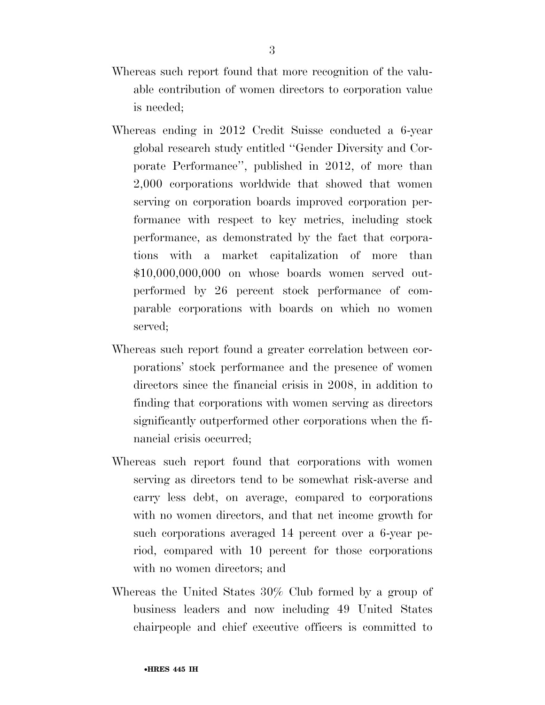- Whereas such report found that more recognition of the valuable contribution of women directors to corporation value is needed;
- Whereas ending in 2012 Credit Suisse conducted a 6-year global research study entitled ''Gender Diversity and Corporate Performance'', published in 2012, of more than 2,000 corporations worldwide that showed that women serving on corporation boards improved corporation performance with respect to key metrics, including stock performance, as demonstrated by the fact that corporations with a market capitalization of more than \$10,000,000,000 on whose boards women served outperformed by 26 percent stock performance of comparable corporations with boards on which no women served;
- Whereas such report found a greater correlation between corporations' stock performance and the presence of women directors since the financial crisis in 2008, in addition to finding that corporations with women serving as directors significantly outperformed other corporations when the financial crisis occurred;
- Whereas such report found that corporations with women serving as directors tend to be somewhat risk-averse and carry less debt, on average, compared to corporations with no women directors, and that net income growth for such corporations averaged 14 percent over a 6-year period, compared with 10 percent for those corporations with no women directors; and
- Whereas the United States 30% Club formed by a group of business leaders and now including 49 United States chairpeople and chief executive officers is committed to